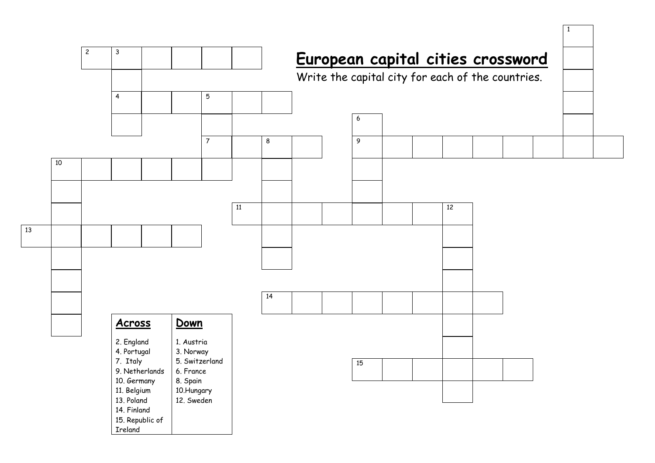